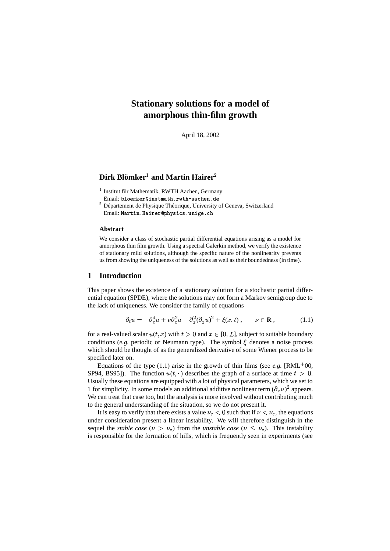# **Stationary solutions for a model of amorphous thin-film growth**

April 18, 2002

# $\mathbf{Dirk}\ \mathbf{Blömker}^1\ \mathbf{and}\ \mathbf{Martin}\ \mathbf{Hairer}^2$

<sup>1</sup> Institut für Mathematik, RWTH Aachen, Germany

- Email: bloemker@instmath.rwth-aachen.de
- <sup>2</sup> Département de Physique Théorique, University of Geneva, Switzerland Email: Martin.Hairer@physics.unige.ch

#### **Abstract**

We consider a class of stochastic partial differential equations arising as a model for amorphous thin film growth. Using a spectral Galerkin method, we verify the existence of stationary mild solutions, although the specific nature of the nonlinearity prevents us from showing the uniqueness of the solutions as well as their boundedness (in time).

# **1 Introduction**

This paper shows the existence of a stationary solution for a stochastic partial differential equation (SPDE), where the solutions may not form a Markov semigroup due to the lack of uniqueness. We consider the family of equations

$$
\partial_t u = -\partial_x^4 u + \nu \partial_x^2 u - \partial_x^2 (\partial_x u)^2 + \xi(x, t) , \qquad \nu \in \mathbf{R} ,
$$
 (1.1)

for a real-valued scalar  $u(t, x)$  with  $t > 0$  and  $x \in [0, L]$ , subject to suitable boundary conditions (e.g. periodic or Neumann type). The symbol  $\xi$  denotes a noise process which should be thought of as the generalized derivative of some Wiener process to be specified later on.

Equations of the type (1.1) arise in the growth of thin films (see *e.g.* [RML<sup>+</sup>00, SP94, BS95]). The function  $u(t, \cdot)$  describes the graph of a surface at time  $t > 0$ . Usually these equations are equipped with a lot of physical parameters, which we set to 1 for simplicity. In some models an additional additive nonlinear term  $(\partial_x u)^2$  appears. We can treat that case too, but the analysis is more involved without contributing much to the general understanding of the situation, so we do not present it.

It is easy to verify that there exists a value  $\nu_c < 0$  such that if  $\nu < \nu_c$ , the equations under consideration present a linear instability. We will therefore distinguish in the sequel the *stable* case ( $\nu > \nu_c$ ) from the *unstable* case ( $\nu \leq \nu_c$ ). This instability is responsible for the formation of hills, which is frequently seen in experiments (see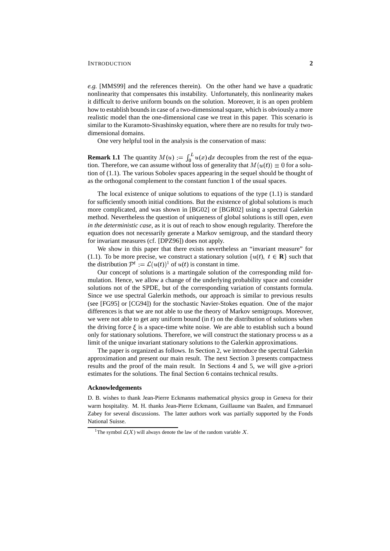#### INTRODUCTION **2**

*e.g.* [MMS99] and the references therein). On the other hand we have a quadratic nonlinearity that compensates this instability. Unfortunately, this nonlinearity makes it difficult to derive uniform bounds on the solution. Moreover, it is an open problem how to establish bounds in case of a two-dimensional square, which is obviously a more realistic model than the one-dimensional case we treat in this paper. This scenario is similar to the Kuramoto-Sivashinsky equation, where there are no results for truly twodimensional domains.

One very helpful tool in the analysis is the conservation of mass:

**Remark 1.1** The quantity  $M(u) := \int_0^L u(x) dx$  decouples from the rest of the equation. Therefore, we can assume without loss of generality that  $M(u(t)) \equiv 0$  for a solution of (1.1). The various Sobolev spaces appearing in the sequel should be thought of as the orthogonal complement to the constant function 1 of the usual spaces.

The local existence of unique solutions to equations of the type  $(1.1)$  is standard for sufficiently smooth initial conditions. But the existence of global solutions is much more complicated, and was shown in [BG02] or [BGR02] using a spectral Galerkin method. Nevertheless the question of uniqueness of global solutions is still open, *even in the deterministic case*, as it is out of reach to show enough regularity. Therefore the equation does not necessarily generate a Markov semigroup, and the standard theory for invariant measures (cf. [DPZ96]) does not apply.

We show in this paper that there exists nevertheless an "invariant measure" for (1.1). To be more precise, we construct a stationary solution  $\{u(t), t \in \mathbf{R}\}\)$  such that the distribution  $\mathcal{P}^t := \mathcal{L}(u(t))^1$  of  $u(t)$  is constant in time.

Our concept of solutions is a martingale solution of the corresponding mild formulation. Hence, we allow a change of the underlying probability space and consider solutions not of the SPDE, but of the corresponding variation of constants formula. Since we use spectral Galerkin methods, our approach is similar to previous results (see [FG95] or [CG94]) for the stochastic Navier-Stokes equation. One of the major differences is that we are not able to use the theory of Markov semigroups. Moreover, we were not able to get any uniform bound (in  $t$ ) on the distribution of solutions when the driving force  $\xi$  is a space-time white noise. We are able to establish such a bound only for stationary solutions. Therefore, we will construct the stationary process  $u$  as a limit of the unique invariant stationary solutions to the Galerkin approximations.

The paper is organized as follows. In Section 2, we introduce the spectral Galerkin approximation and present our main result. The next Section 3 presents compactness results and the proof of the main result. In Sections 4 and 5, we will give a-priori estimates for the solutions. The final Section 6 contains technical results.

#### **Acknowledgements**

D. B. wishes to thank Jean-Pierre Eckmanns mathematical physics group in Geneva for their warm hospitality. M. H. thanks Jean-Pierre Eckmann, Guillaume van Baalen, and Emmanuel Zabey for several discussions. The latter authors work was partially supported by the Fonds National Suisse.

<sup>&</sup>lt;sup>1</sup>The symbol  $\mathcal{L}(X)$  will always denote the law of the random variable X.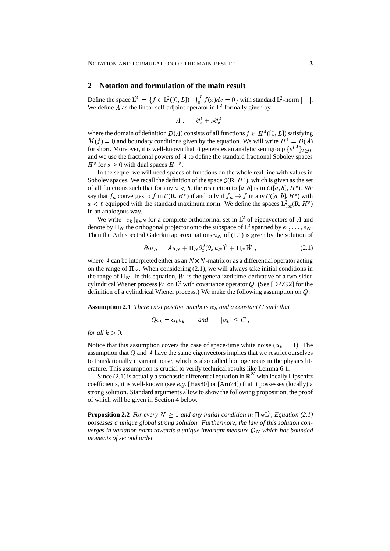### **2 Notation and formulation of the main result**

Define the space  $L^2 := \{ f \in L^2([0,L]) : \int_0^L f(x)dx = 0 \}$  with standard  $L^2$ -norm  $\| \cdot \|$ . We define A as the linear self-adjoint operator in  $L^2$  formally given by

$$
A:=-\partial_x^4+\nu\partial_x^2\ ,
$$

where the domain of definition  $D(A)$  consists of all functions  $f \in H^4([0,L])$  satisfying  $M(f) = 0$  and boundary conditions given by the equation. We will write  $H^4 = D(A)$ for short. Moreover, it is well-known that A generates an analytic semigroup  $\{e^{tA}\}_{t\geq0}$ , and we use the fractional powers of  $A$  to define the standard fractional Sobolev spaces  $H^s$  for  $s \geq 0$  with dual spaces  $H^{-s}$ .

In the sequel we will need spaces of functions on the whole real line with values in Sobolev spaces. We recall the definition of the space  $\mathcal{C}(\mathbf{R}, H^s)$ , which is given as the set of all functions such that for any  $a < b$ , the restriction to [a, b] is in  $\mathcal{C}([a, b], H^s)$ . We say that  $f_n$  converges to f in  $\mathcal{C}(\mathbf{R}, H^s)$  if and only if  $f_n \to f$  in any  $\mathcal{C}([a, b], H^s)$  with  $a < b$  equipped with the standard maximum norm. We define the spaces  $L^2_{loc}(\mathbf{R}, H^s)$ in an analogous way.

We write  $\{e_k\}_{k\in\mathbb{N}}$  for a complete orthonormal set in  $\mathsf{L}^2$  of eigenvectors of A and denote by  $\Pi_N$  the orthogonal projector onto the subspace of  $L^2$  spanned by  $e_1, \ldots, e_N$ . Then the Nth spectral Galerkin approximations  $u_N$  of (1.1) is given by the solution of

$$
\partial_t u_N = A u_N + \Pi_N \partial_x^2 (\partial_x u_N)^2 + \Pi_N W \,, \tag{2.1}
$$

where A can be interpreted either as an  $N \times N$ -matrix or as a differential operator acting on the range of  $\Pi_N$ . When considering (2.1), we will always take initial conditions in the range of  $\Pi_N$ . In this equation, W is the generalized time-derivative of a two-sided cylindrical Wiener process W on  $L^2$  with covariance operator Q. (See [DPZ92] for the definition of a cylindrical Wiener process.) We make the following assumption on  $Q$ :

**Assumption 2.1** *There exist positive numbers*  $\alpha_k$  *and a constant* C *such that* 

$$
Qe_k = \alpha_k e_k \qquad \text{and} \qquad |\alpha_k| \le C \ ,
$$

*for all*  $k>0$ .

Notice that this assumption covers the case of space-time white noise ( $\alpha_k = 1$ ). The assumption that  $Q$  and  $A$  have the same eigenvectors implies that we restrict ourselves to translationally invariant noise, which is also called homogeneous in the physics literature. This assumption is crucial to verify technical results like Lemma 6.1.

Since  $(2.1)$  is actually a stochastic differential equation in  $\mathbf{R}^{N}$  with locally Lipschitz coefficients, it is well-known (see *e.g.* [Has80] or [Arn74]) that it possesses (locally) a strong solution. Standard arguments allow to show the following proposition, the proof of which will be given in Section 4 below.

**Proposition 2.2** *For every*  $N \geq 1$  *and any initial condition in*  $\Pi_N L^2$ *, Equation* (2.1) *possesses a unique global strong solution. Furthermore, the law of this solution converges* in variation norm towards a unique invariant measure  $Q_N$  which has bounded *moments of second order.*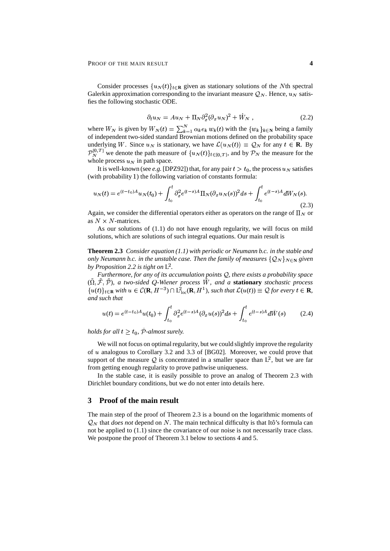Consider processes  $\{u_N(t)\}_{t \in \mathbf{R}}$  given as stationary solutions of the Nth spectral Galerkin approximation corresponding to the invariant measure  $\mathcal{Q}_N$ . Hence,  $u_N$  satisfies the following stochastic ODE.

$$
\partial_t u_N = A u_N + \Pi_N \partial_x^2 (\partial_x u_N)^2 + W_N , \qquad (2.2)
$$

where  $W_N$  is given by  $W_N(t) = \sum_{k=1}^N \alpha_k e_k w_k(t)$  with the  $\{w_k\}_{k \in \mathbb{N}}$  being a family of independent two-sided standard Brownian motions defined on the probability space underlying W. Since  $u_N$  is stationary, we have  $\mathcal{L}(u_N(t)) \equiv \mathcal{Q}_N$  for any  $t \in \mathbf{R}$ . By  $\mathcal{P}_N^{[0,T]}$  we denote the path measure of  $\{u_N(t)\}_{t\in[0,T]}$ , and by  $\mathcal{P}_N$  the measure for the whole process  $u_N$  in path space.

It is well-known (see *e.g.* [DPZ92]) that, for any pair  $t > t_0$ , the process  $u_N$  satisfies (with probability 1) the following variation of constants formula:

$$
u_N(t) = e^{(t-t_0)A}u_N(t_0) + \int_{t_0}^t \partial_x^2 e^{(t-s)A} \Pi_N(\partial_x u_N(s))^2 ds + \int_{t_0}^t e^{(t-s)A} dW_N(s).
$$
\n(2.3)

Again, we consider the differential operators either as operators on the range of  $\Pi_N$  or as  $N \times N$ -matrices.

As our solutions of (1.1) do not have enough regularity, we will focus on mild solutions, which are solutions of such integral equations. Our main result is

**Theorem 2.3** *Consider equation (1.1) with periodic or Neumann b.c. in the stable and only Neumann b.c. in the unstable case. Then the family of measures*  $\{Q_N\}_{N\in\mathbb{N}}$  *given by Proposition 2.2 is tight on* L? *.*

*Furthermore, for any of its accumulation points* <sup>&</sup>lt;*, there exists a probability space*  $(\Omega, \mathcal{F}, \mathcal{P})$ , *a two-sided Q-Wiener process W, and a stationary <i>stochastic process*  ${u(t)}_{t\in\mathbf{R}}$  with  $u \in \mathcal{C}(\mathbf{R}, H^{-3}) \cap L^2_{loc}(\mathbf{R}, H^1)$ , such that  $\mathcal{L}(u(t)) \equiv \mathcal{Q}$  for every  $t \in \mathbf{R}$ , *and such that*

$$
u(t) = e^{(t-t_0)A}u(t_0) + \int_{t_0}^t \partial_x^2 e^{(t-s)A} (\partial_x u(s))^2 ds + \int_{t_0}^t e^{(t-s)A} d\tilde{W}(s) \tag{2.4}
$$

*holds for all*  $t \geq t_0$ ,  $P$ -almost surely.

We will not focus on optimal regularity, but we could slightly improve the regularity of <sup>2</sup> analogous to Corollary 3.2 and 3.3 of [BG02]. Moreover, we could prove that support of the measure Q is concentrated in a smaller space than  $L^2$ , but we are far from getting enough regularity to prove pathwise uniqueness.

In the stable case, it is easily possible to prove an analog of Theorem 2.3 with Dirichlet boundary conditions, but we do not enter into details here.

### **3 Proof of the main result**

The main step of the proof of Theorem 2.3 is a bound on the logarithmic moments of  $\mathcal{Q}_N$  that *does not* depend on N. The main technical difficulty is that Itô's formula can not be applied to (1.1) since the covariance of our noise is not necessarily trace class. We postpone the proof of Theorem 3.1 below to sections 4 and 5.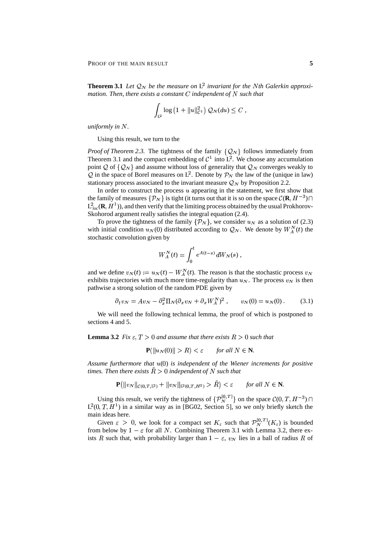**Theorem 3.1** Let  $\mathcal{Q}_N$  be the measure on  $L^2$  invariant for the Nth Galerkin approxi*mation. Then, there exists a constant*  $C$  *independent of*  $N$  *such that* 

$$
\int_{L^2} \log (1 + \|u\|_{C^1}^2) \, Q_N(du) \leq C ,
$$

*uniformly in*  $N$ .

Using this result, we turn to the

*Proof of Theorem 2.3.* The tightness of the family  $\{Q_N\}$  follows immediately from Theorem 3.1 and the compact embedding of  $\mathcal{C}^1$  into  $L^2$ . We choose any accumulation point Q of  $\{Q_N\}$  and assume without loss of generality that  $Q_N$  converges weakly to Q in the space of Borel measures on  $L^2$ . Denote by  $\mathcal{P}_N$  the law of the (unique in law) stationary process associated to the invariant measure  $Q_N$  by Proposition 2.2.

In order to construct the process  $u$  appearing in the statement, we first show that the family of measures  $\{P_N\}$  is tight (it turns out that it is so on the space  $\mathcal{C}(\mathbf{R}, H^{-3}) \cap$  $L^2_{\text{loc}}(\mathbf{R}, H^1)$ ), and then verify that the limiting process obtained by the usual Prokhorov-Skohorod argument really satisfies the integral equation (2.4).

To prove the tightness of the family  $\{P_N\}$ , we consider  $u_N$  as a solution of (2.3) with initial condition  $u_N(0)$  distributed according to  $\mathcal{Q}_N$ . We denote by  $W_A^N(t)$  the stochastic convolution given by

$$
W_A^N(t) = \int_0^t e^{A(t-s)} dW_N(s) ,
$$

and we define  $v_N(t) := u_N(t) - W_A^N(t)$ . The reason is that the stochastic process  $v_N$ exhibits trajectories with much more time-regularity than  $u_N$ . The process  $v_N$  is then pathwise a strong solution of the random PDE given by

$$
\partial_t v_N = A v_N - \partial_x^2 \Pi_N (\partial_x v_N + \partial_x W_A^N)^2 , \qquad v_N(0) = u_N(0) . \tag{3.1}
$$

We will need the following technical lemma, the proof of which is postponed to sections 4 and 5.

**Lemma 3.2** *Fix*  $\varepsilon$ ,  $T > 0$  *and assume that there exists*  $R > 0$  *such that* 

$$
\mathbf{P}(\|u_N(0)\| > R) < \varepsilon \qquad \text{for all } N \in \mathbf{N}.
$$

Assume furthermore that  $u(0)$  is independent of the Wiener increments for positive *times. Then there exists*  $\tilde{R} > 0$  *independent* of N such that

$$
\mathbf{P}(\|v_N\|_{\mathcal{C}(0,T,\mathbb{L}^2)} + \|v_N\|_{\mathbb{L}^2(0,T,\mathbb{H}^2)} > R < \varepsilon \quad \text{for all } N \in \mathbb{N}.
$$

Using this result, we verify the tightness of  $\{P_N^{[0,T]}\}\$  on the space  $\mathcal{C}(0,T,H^{-3})\cap$  $L^2(0, T, H^1)$  in a similar way as in [BG02, Section 5], so we only briefly sketch the main ideas here.

Given  $\varepsilon > 0$ , we look for a compact set  $K_{\varepsilon}$  such that  $\mathcal{P}_N^{[0,T]}(K_{\varepsilon})$  is bounded from below by  $1 - \varepsilon$  for all N. Combining Theorem 3.1 with Lemma 3.2, there exists R such that, with probability larger than  $1 - \varepsilon$ ,  $v_N$  lies in a ball of radius R of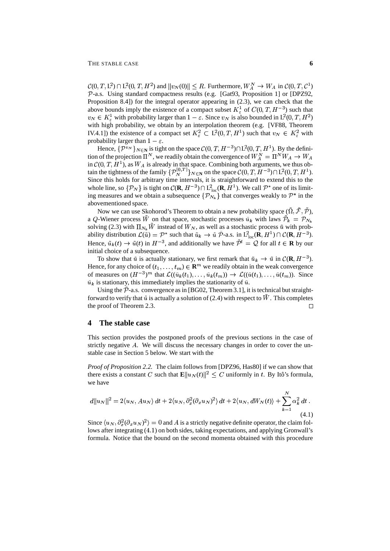$\mathcal{C}(0,T,\mathbf{L}^2) \cap \mathbf{L}^2(0,T,H^2)$  and  $||v_N(0)|| \leq R$ . Furthermore,  $W_A^N \to W_A$  in  $\mathcal{C}(0,T,\mathcal{C}^1)$ P-a.s. Using standard compactness results (e.g. [Gat93, Proposition 1] or [DPZ92, Proposition 8.4]) for the integral operator appearing in (2.3), we can check that the above bounds imply the existence of a compact subset  $K^1_{\varepsilon}$  of  $C(0,T,H^{-3})$  such that  $v_N \in K^1_{\varepsilon}$  with probability larger than  $1-\varepsilon$ . Since  $v_N$  is also bounded in  $L^2(0,T,H^2)$ with high probability, we obtain by an interpolation theorem (e.g. [VF88, Theorem IV.4.1) the existence of a compact set  $K_{\varepsilon}^2 \subset L^2(0,T,H^1)$  such that  $v_N \in K_{\varepsilon}^2$  with probability larger than  $1 - \varepsilon$ .

Hence,  $\{\mathcal{P}^{v_N}\}_{N\in\mathbb{N}}$  is tight on the space  $\mathcal{C}(0,T,H^{-3})\cap L^2(0,T,H^1)$ . By the definition of the projection  $\Pi^N$ , we readily obtain the convergence of  $W_A^N = \Pi^N W_A \rightarrow W_A$ in  $\mathcal{C}(0,T,H^1)$ , as  $W_A$  is already in that space. Combining both arguments, we thus obtain the tightness of the family  $\{P_N^{[0,T]}\}_{N \in \mathbb{N}}$  on the space  $\mathcal{C}(0,T, H^{-3}) \cap L^2(0,T, H^1)$ . Since this holds for arbitrary time intervals, it is straightforward to extend this to the whole line, so  $\{\mathcal{P}_N\}$  is tight on  $\mathcal{C}(\mathbf{R}, H^{-3}) \cap L^2_{loc}(\mathbf{R}, H^1)$ . We call  $\mathcal{P}^*$  one of its limiting measures and we obtain a subsequence  $\{\mathcal{P}_{N_k}\}\$  that converges weakly to  $\mathcal{P}^*$  in the abovementioned space.

Now we can use Skohorod's Theorem to obtain a new probability space  $(\Omega, \mathcal{F}, \mathcal{P})$ , a Q-Wiener process W on that space, stochastic processes  $\tilde{u}_k$  with laws  $\mathcal{P}_k = \mathcal{P}_{N_k}$ solving (2.3) with  $\Pi_{N_k} W$  instead of  $W_N$ , as well as a stochastic process  $\tilde{u}$  with probability distribution  $\mathcal{L}(\tilde{u}) = \mathcal{P}^*$  such that  $\tilde{u}_k \to \tilde{u} \tilde{\mathcal{P}}$ -a.s. in  $L^2_{loc}(\mathbf{R}, H^1) \cap \mathcal{C}(\mathbf{R}, H^{-3})$ . Hence,  $\tilde{u}_k(t) \to \tilde{u}(t)$  in  $H^{-3}$ , and additionally we have  $\mathcal{P}^t = \mathcal{Q}$  for all  $t \in \mathbf{R}$  by our initial choice of a subsequence.

To show that  $\tilde{u}$  is actually stationary, we first remark that  $\tilde{u}_k \to \tilde{u}$  in  $\mathcal{C}(\mathbf{R}, H^{-3})$ . Hence, for any choice of  $(t_1, \ldots, t_m) \in \mathbb{R}^m$  we readily obtain in the weak convergence of measures on  $(H^{-3})^m$  that  $\mathcal{L}((\tilde{u}_k(t_1),..., \tilde{u}_k(t_m)) \to \mathcal{L}((\tilde{u}(t_1),..., \tilde{u}(t_m))$ . Since  $\tilde{u}_k$  is stationary, this immediately implies the stationarity of  $\tilde{u}$ .

Using the  $\tilde{\mathcal{P}}$ -a.s. convergence as in [BG02, Theorem 3.1], it is technical but straightforward to verify that  $\tilde{u}$  is actually a solution of (2.4) with respect to  $W$  . This completes the proof of Theorem 2.3.  $\Box$ 

#### **4 The stable case**

This section provides the postponed proofs of the previous sections in the case of strictly negative  $A$ . We will discuss the necessary changes in order to cover the unstable case in Section 5 below. We start with the

*Proof of Proposition 2.2.* The claim follows from [DPZ96, Has80] if we can show that there exists a constant C such that  $\mathbf{E} \| u_N(t) \|^2 \leq C$  uniformly in t. By Itô's formula, we have

$$
d||u_N||^2 = 2\langle u_N, Au_N \rangle dt + 2\langle u_N, \partial_x^2(\partial_x u_N)^2 \rangle dt + 2\langle u_N, dW_N(t) \rangle + \sum_{k=1}^N \alpha_k^2 dt.
$$
\n(4.1)

Since  $\langle u_N, \partial_x^2(\partial_x u_N)^2 \rangle = 0$  and A is a strictly negative definite operator, the claim follows after integrating (4.1) on both sides, taking expectations, and applying Gronwall's formula. Notice that the bound on the second momenta obtained with this procedure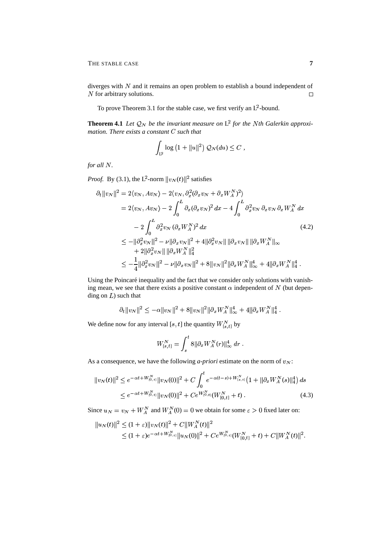THE STABLE CASE **7** 

diverges with  $N$  and it remains an open problem to establish a bound independent of  $N$  for arbitrary solutions.  $\Box$ 

To prove Theorem 3.1 for the stable case, we first verify an  $L^2$ -bound.

**Theorem 4.1** Let  $\mathcal{Q}_N$  be the invariant measure on L<sup>2</sup> for the Nth Galerkin approxi*mation. There exists a constant*  $C$  *such that* 

$$
\int_{\mathbb{L}^2} \log \left( 1 + ||u||^2 \right) \mathcal{Q}_N(du) \leq C ,
$$

*for all*  $N$ *.* 

*Proof.* By (3.1), the L<sup>2</sup>-norm  $||v_N(t)||^2$  satisfies

$$
\partial_t ||v_N||^2 = 2\langle v_N, Av_N \rangle - 2\langle v_N, \partial_x^2 (\partial_x v_N + \partial_x W_A^N)^2 \rangle
$$
  
\n
$$
= 2\langle v_N, Av_N \rangle - 2 \int_0^L \partial_x (\partial_x v_N)^2 dx - 4 \int_0^L \partial_x^2 v_N \partial_x v_N \partial_x W_A^N dx
$$
  
\n
$$
- 2 \int_0^L \partial_x^2 v_N (\partial_x W_A^N)^2 dx
$$
  
\n
$$
\leq -||\partial_x^2 v_N||^2 - \nu ||\partial_x v_N||^2 + 4||\partial_x^2 v_N|| ||\partial_x v_N|| ||\partial_x W_A^N||_{\infty}
$$
  
\n
$$
+ 2||\partial_x^2 v_N|| ||\partial_x W_A^N||_4^2
$$
  
\n
$$
\leq -\frac{1}{4}||\partial_x^2 v_N||^2 - \nu ||\partial_x v_N||^2 + 8||v_N||^2 ||\partial_x W_A^N||_{\infty}^4 + 4||\partial_x W_A^N||_4^4.
$$

Using the Poincaré inequality and the fact that we consider only solutions with vanishing mean, we see that there exists a positive constant  $\alpha$  independent of N (but depending on  $L$ ) such that

$$
\partial_t \|v_N\|^2 \leq -\alpha \|v_N\|^2 + 8\|v_N\|^2 \|\partial_x W_A^N\|_\infty^4 + 4\|\partial_x W_A^N\|_4^4 \;.
$$

We define now for any interval [s, t] the quantity  $W_{[s,t]}^N$  by

$$
W^N_{[s,t]}=\int_s^t 8\|\partial_x W^N_A(r)\|^4_\infty\;dr\;.
$$

As a consequence, we have the following *a-priori* estimate on the norm of  $v<sub>N</sub>$ :

$$
||v_N(t)||^2 \le e^{-\alpha t + W_{[0,t]}^N} ||v_N(0)||^2 + C \int_0^t e^{-\alpha(t-s) + W_{[s,t]}^N} \left(1 + ||\partial_x W_A^N(s)||_4^4\right) ds
$$
  
 
$$
\le e^{-\alpha t + W_{[0,t]}^N} ||v_N(0)||^2 + Ce^{W_{[0,t]}^N} \left(W_{[0,t]}^N + t\right).
$$
 (4.3)

Since  $u_N = v_N + W_A^N$  and  $W_A^N(0) = 0$  we obtain for some  $\varepsilon > 0$  fixed later on:

$$
||u_N(t)||^2 \le (1+\varepsilon)||v_N(t)||^2 + C||W_A^N(t)||^2
$$
  
 
$$
\le (1+\varepsilon)e^{-\alpha t + W_{[0,1]}^N}||u_N(0)||^2 + Ce^{W_{[0,1]}^N}(W_{[0,t]}^N + t) + C||W_A^N(t)||^2.
$$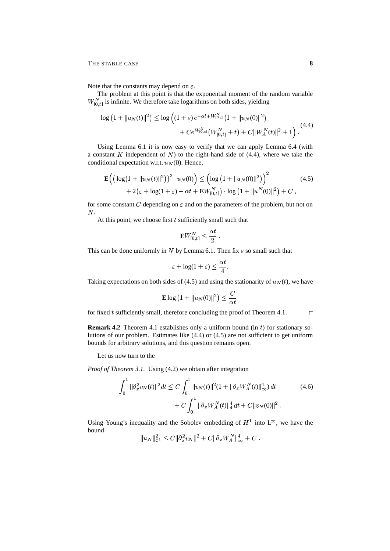Note that the constants may depend on  $\varepsilon$ .

The problem at this point is that the exponential moment of the random variable  $W_{[0,t]}^N$  is infinite. We therefore take logarithms on both sides, yielding

$$
\log (1 + \|u_N(t)\|^2) \le \log \left( (1 + \varepsilon) e^{-\alpha t + W_{[0,t]}^N} \left( 1 + \|u_N(0)\|^2 \right) + Ce^{W_{[0,t]}^N} \left( W_{[0,t]}^N + t \right) + C \|W_A^N(t)\|^2 + 1 \right). \tag{4.4}
$$

Using Lemma 6.1 it is now easy to verify that we can apply Lemma 6.4 (with a constant  $K$  independent of  $N$ ) to the right-hand side of (4.4), where we take the conditional expectation w.r.t.  $u_N(0)$ . Hence,

$$
\mathbf{E}\Big(\big(\log(1+\|u_N(t)\|^2)\big)^2\,\Big|\,u_N(0)\Big)\leq \Big(\log\big(1+\|u_N(0)\|^2\big)\Big)^2\\+2\big(\varepsilon+\log(1+\varepsilon)-\alpha t+\mathbf{E}W_{[0,t]}^N\big)\cdot\log\big(1+\|u^N(0)\|^2\big)+C\;,
$$
\n(4.5)

for some constant C depending on  $\varepsilon$  and on the parameters of the problem, but not on  $N$ .

At this point, we choose first  $t$  sufficiently small such that

$$
\mathbf{E} W_{[0,t]}^N \leq \frac{\alpha t}{2} \ .
$$

This can be done uniformly in N by Lemma 6.1. Then fix  $\varepsilon$  so small such that

$$
\varepsilon + \log(1 + \varepsilon) \le \frac{\alpha t}{4}.
$$

Taking expectations on both sides of (4.5) and using the stationarity of  $u<sub>N</sub>(t)$ , we have

$$
\mathbf{E} \log \left( 1 + \| u_N(0) \|^2 \right) \leq \frac{C}{\alpha t}
$$

for fixed  $t$  sufficiently small, therefore concluding the proof of Theorem 4.1.  $\Box$ 

**Remark 4.2** Theorem 4.1 establishes only a uniform bound (in  $t$ ) for stationary solutions of our problem. Estimates like (4.4) or (4.5) are not sufficient to get uniform bounds for arbitrary solutions, and this question remains open.

Let us now turn to the

*Proof of Theorem 3.1.* Using (4.2) we obtain after integration

$$
\int_0^1 \|\partial_x^2 v_N(t)\|^2 dt \le C \int_0^1 \|v_N(t)\|^2 (1 + \|\partial_x W_A^N(t)\|_{\infty}^4) dt
$$
  
+  $C \int_0^1 \|\partial_x W_A^N(t)\|_4^4 dt + C \|v_N(0)\|^2$ . (4.6)

Using Young's inequality and the Sobolev embedding of  $H^1$  into  $L^{\infty}$ , we have the bound  $\ddot{\phantom{a}}$ 

$$
||u_N||_{\mathcal{C}^1}^2 \leq C||\partial_x^2 v_N||^2 + C||\partial_x W_A^N||_{\infty}^4 + C.
$$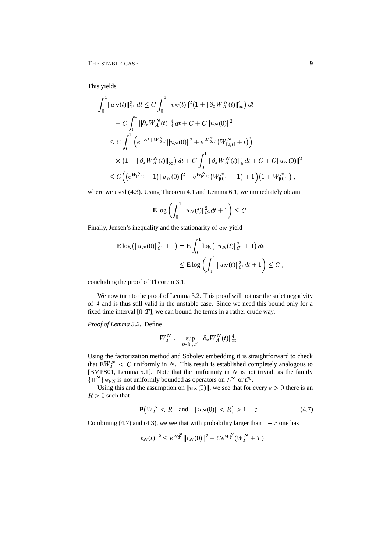This yields

$$
\int_0^1 \|u_N(t)\|_{C^1}^2 dt \le C \int_0^1 \|v_N(t)\|^2 \left(1 + \|\partial_x W_A^N(t)\|_\infty^4\right) dt
$$
  
+  $C \int_0^1 \|\partial_x W_A^N(t)\|_4^4 dt + C + C \|u_N(0)\|^2$   
 $\le C \int_0^1 \left(e^{-\alpha t + W_{[0,t]}^N} \|u_N(0)\|^2 + e^{W_{[0,t]}^N} \left(W_{[0,t]}^N + t\right)\right)$   
 $\times \left(1 + \|\partial_x W_A^N(t)\|_\infty^4\right) dt + C \int_0^1 \|\partial_x W_A^N(t)\|_4^4 dt + C + C \|u_N(0)\|^2$   
 $\le C \left(\left(e^{W_{[0,1]}^N} + 1\right) \|u_N(0)\|^2 + e^{W_{[0,1]}^N} \left(W_{[0,1]}^N + 1\right) + 1\right) \left(1 + W_{[0,1]}^N\right),$ 

where we used (4.3). Using Theorem 4.1 and Lemma 6.1, we immediately obtain

$$
\mathbf{E}\log\left(\int_0^1\|u_N(t)\|_{\mathcal{C}^1}^2dt+1\right)\leq C.
$$

Finally, Jensen's inequality and the stationarity of  $u_N$  yield

$$
\mathbf{E} \log \left( ||u_N(0)||_{\mathcal{C}^1}^2 + 1 \right) = \mathbf{E} \int_0^1 \log \left( ||u_N(t)||_{\mathcal{C}^1}^2 + 1 \right) dt
$$
  
\$\leq\$  $\mathbf{E} \log \left( \int_0^1 ||u_N(t)||_{\mathcal{C}^1}^2 dt + 1 \right) \leq C$  ,

concluding the proof of Theorem 3.1.

We now turn to the proof of Lemma 3.2. This proof will not use the strict negativity of  $A$  and is thus still valid in the unstable case. Since we need this bound only for a fixed time interval  $[0, T]$ , we can bound the terms in a rather crude way.

*Proof of Lemma 3.2.* Define

$$
W^N_T:=\sup_{t\in[0,T]}\|\partial_x W^N_A(t)\|^4_\infty\;.
$$

Using the factorization method and Sobolev embedding it is straightforward to check that  $EW^N_T < C$  uniformly in N. This result is established completely analogous to [BMPS01, Lemma 5.1]. Note that the uniformity in  $N$  is not trivial, as the family  ${\{\Pi^N\}}_{N\in\mathbb{N}}$  is not uniformly bounded as operators on  $L^\infty$  or  $\mathcal{C}^0$ .

Using this and the assumption on  $||u_N(0)||$ , we see that for every  $\varepsilon > 0$  there is an  $R>0$  such that

$$
\mathbf{P}\big(W_T^N < R \quad \text{and} \quad \|u_N(0)\| < R\big) > 1 - \varepsilon \tag{4.7}
$$

Combining (4.7) and (4.3), we see that with probability larger than  $1 - \varepsilon$  one has

$$
||v_N(t)||^2 \leq e^{W_T^N} ||v_N(0)||^2 + Ce^{W_T^N} (W_T^N + T)
$$

 $\Box$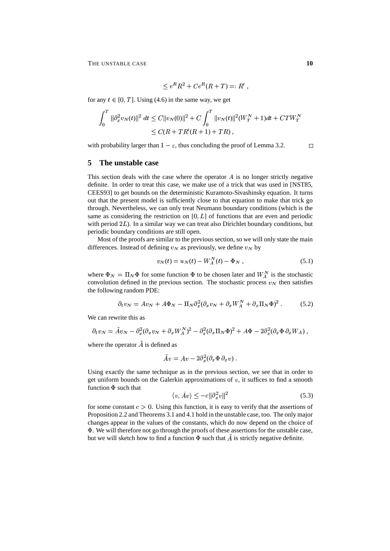$$
\leq e^R R^2 + C e^R (R+T) =: R',
$$

for any  $t \in [0, T]$ . Using (4.6) in the same way, we get

$$
\int_0^T \|\partial_x^2 v_N(t)\|^2 \, dt \le C \|v_N(0)\|^2 + C \int_0^T \|v_N(t)\|^2 (W_T^N + 1) dt + C T W_T^N
$$
  

$$
\le C(R + TR'(R + 1) + TR),
$$

with probability larger than  $1 - \varepsilon$ , thus concluding the proof of Lemma 3.2.

### **5 The unstable case**

This section deals with the case where the operator  $A$  is no longer strictly negative definite. In order to treat this case, we make use of a trick that was used in [NST85, CEES93] to get bounds on the deterministic Kuramoto-Sivashinsky equation. It turns out that the present model is sufficiently close to that equation to make that trick go through. Nevertheless, we can only treat Neumann boundary conditions (which is the same as considering the restriction on  $[0, L]$  of functions that are even and periodic with period  $2L$ ). In a similar way we can treat also Dirichlet boundary conditions, but periodic boundary conditions are still open.

Most of the proofs are similar to the previous section, so we will only state the main differences. Instead of defining  $v<sub>N</sub>$  as previously, we define  $v<sub>N</sub>$  by

$$
v_N(t) = u_N(t) - W_A^N(t) - \Phi_N \t\t(5.1)
$$

where  $\Phi_N = \Pi_N \Phi$  for some function  $\Phi$  to be chosen later and  $W_A^N$  is the stochastic convolution defined in the previous section. The stochastic process  $v<sub>N</sub>$  then satisfies the following random PDE:

$$
\partial_t v_N = A v_N + A \Phi_N - \Pi_N \partial_x^2 (\partial_x v_N + \partial_x W_A^N + \partial_x \Pi_N \Phi)^2. \tag{5.2}
$$

We can rewrite this as

$$
\partial_t v_N = \tilde A v_N - \partial_x^2 (\partial_x v_N + \partial_x W_A^N)^2 - \partial_x^2 (\partial_x \Pi_N \Phi)^2 + A \Phi - 2 \partial_x^2 (\partial_x \Phi \, \partial_x W_A) \,,
$$

where the operator  $\tilde{A}$  is defined as

$$
\tilde{A}v = Av - 2\partial_x^2(\partial_x \Phi \, \partial_x v) \ .
$$

Using exactly the same technique as in the previous section, we see that in order to get uniform bounds on the Galerkin approximations of  $v$ , it suffices to find a smooth function  $\Phi$  such that

$$
\langle v, \tilde{A}v \rangle \le -c \|\partial_x^2 v\|^2 \tag{5.3}
$$

for some constant  $c > 0$ . Using this function, it is easy to verify that the assertions of Proposition 2.2 and Theorems 3.1 and 4.1 hold in the unstable case, too. The only major changes appear in the values of the constants, which do now depend on the choice of - . We will therefore not go through the proofs of these assertions for the unstable case, but we will sketch how to find a function  $\Phi$  such that A is strictly negative definite.

 $\Box$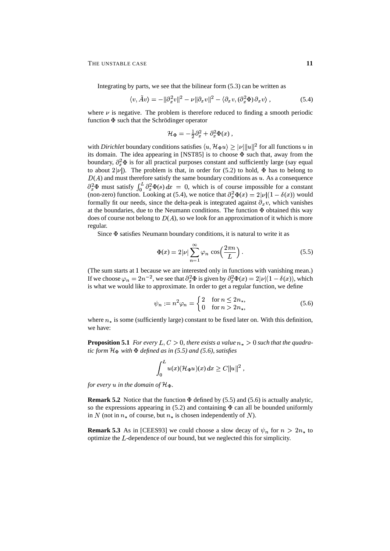Integrating by parts, we see that the bilinear form  $(5.3)$  can be written as

$$
\langle v, \tilde{A}v \rangle = -\|\partial_x^2 v\|^2 - \nu \|\partial_x v\|^2 - \langle \partial_x v, (\partial_x^2 \Phi) \partial_x v \rangle , \qquad (5.4)
$$

where  $\nu$  is negative. The problem is therefore reduced to finding a smooth periodic function  $\Phi$  such that the Schrödinger operator

$$
\mathcal{H}_{\Phi} = -\frac{1}{2}\partial_x^2 + \partial_x^2 \Phi(x) ,
$$

with *Dirichlet* boundary conditions satisfies  $\langle u, \mathcal{H}_{\Phi} u \rangle \geq |\nu| ||u||^2$  for all functions u in its domain. The idea appearing in [NST85] is to choose  $\Phi$  such that, away from the boundary,  $\partial_x^2 \Phi$  is for all practical purposes constant and sufficiently large (say equal to about  $2|\nu|$ ). The problem is that, in order for (5.2) to hold,  $\Phi$  has to belong to  $D(A)$  and must therefore satisfy the same boundary conditions as  $u$ . As a consequence  $\partial_x^2 \Phi$  must satisfy  $\int_0^L \partial_x^2 \Phi(s) dx = 0$ , which is of course impossible for a constant (non-zero) function. Looking at (5.4), we notice that  $\partial_x^2 \Phi(x) = 2|\nu|(1 - \delta(x))$  would formally fit our needs, since the delta-peak is integrated against  $\partial_x v$ , which vanishes at the boundaries, due to the Neumann conditions. The function  $\Phi$  obtained this way does of course not belong to  $D(A)$ , so we look for an approximation of it which is more regular.

Since  $\Phi$  satisfies Neumann boundary conditions, it is natural to write it as

$$
\Phi(x) = 2|\nu| \sum_{n=1}^{\infty} \varphi_n \cos\left(\frac{2\pi n}{L}\right). \tag{5.5}
$$

(The sum starts at 1 because we are interested only in functions with vanishing mean.) If we choose  $\varphi_n = 2n^{-2}$ , we see that  $\partial_x^2 \Phi$  is given by  $\partial_x^2 \Phi(x) = 2|\nu|(1 - \delta(x))$ , which is what we would like to approximate. In order to get a regular function, we define

$$
\psi_n := n^2 \varphi_n = \begin{cases} 2 & \text{for } n \le 2n_*, \\ 0 & \text{for } n > 2n_*, \end{cases} \tag{5.6}
$$

where  $n_*$  is some (sufficiently large) constant to be fixed later on. With this definition, we have:

**Proposition 5.1** *For every*  $L, C > 0$ *, there exists a value*  $n_* > 0$  *such that the quadra-* $\mu$  *tic form*  $\mathcal{H}_{\Phi}$  *with*  $\Phi$  *defined as in* (5.5) *and* (5.6), *satisfies* 

$$
\int_0^L u(x) (\mathcal{H}_{\Phi} u)(x) dx \geq C ||u||^2,
$$

*for every*  $u$  *in the domain of*  $\mathcal{H}_\Phi$ *.* 

**Remark 5.2** Notice that the function  $\Phi$  defined by (5.5) and (5.6) is actually analytic, so the expressions appearing in  $(5.2)$  and containing  $\Phi$  can all be bounded uniformly in N (not in  $n_*$  of course, but  $n_*$  is chosen independently of N).

**Remark 5.3** As in [CEES93] we could choose a slow decay of  $\psi_n$  for  $n > 2n_*$  to optimize the <sup>Q</sup>-dependence of our bound, but we neglected this for simplicity.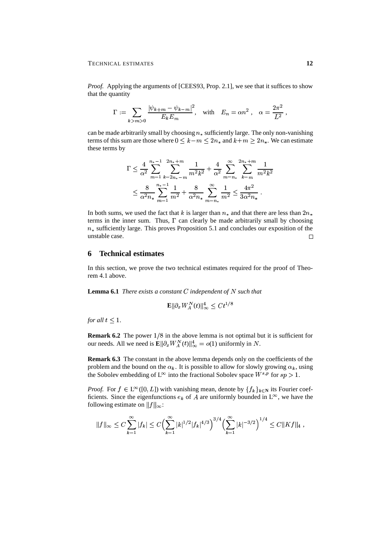*Proof.* Applying the arguments of [CEES93, Prop. 2.1], we see that it suffices to show that the quantity

$$
\Gamma := \sum_{k > m > 0} \frac{|\psi_{k+m} - \psi_{k-m}|^2}{E_k E_m}, \quad \text{with} \quad E_n = \alpha n^2 \ , \quad \alpha = \frac{2\pi^2}{L^2} \ ,
$$

can be made arbitrarily small by choosing  $n_*$  sufficiently large. The only non-vanishing terms of this sum are those where  $0 \leq k-m \leq 2n_*$  and  $k+m \geq 2n_*$ . We can estimate these terms by

$$
\Gamma \leq \frac{4}{\alpha^2} \sum_{m=1}^{n_*-1} \sum_{k=2n_*-m}^{2n_*+m} \frac{1}{m^2 k^2} + \frac{4}{\alpha^2} \sum_{m=n_*}^{\infty} \sum_{k=m}^{2n_*+m} \frac{1}{m^2 k^2}
$$
  

$$
\leq \frac{8}{\alpha^2 n_*} \sum_{m=1}^{n_*-1} \frac{1}{m^2} + \frac{8}{\alpha^2 n_*} \sum_{m=n_*}^{\infty} \frac{1}{m^2} \leq \frac{4\pi^2}{3\alpha^2 n_*}.
$$

In both sums, we used the fact that k is larger than  $n_*$  and that there are less than  $2n_*$ terms in the inner sum. Thus,  $\Gamma$  can clearly be made arbitrarily small by choosing  $n_*$  sufficiently large. This proves Proposition 5.1 and concludes our exposition of the unstable case.  $\Box$ 

## **6 Technical estimates**

In this section, we prove the two technical estimates required for the proof of Theorem 4.1 above.

**Lemma 6.1** *There exists*  $a$  *constant*  $C$  *independent* of  $N$  *such that* 

$$
\mathbb{E} \|\partial_x W^N_A(t)\|_\infty^4 \le Ct^{1/8}
$$

*for all*  $t \leq 1$ .

**Remark 6.2** The power  $1/8$  in the above lemma is not optimal but it is sufficient for our needs. All we need is  $\mathbf{E} \|\partial_x W_A^N(t)\|_{\infty}^4 = o(1)$  uniformly in N.

**Remark 6.3** The constant in the above lemma depends only on the coefficients of the problem and the bound on the  $\alpha_k$ . It is possible to allow for slowly growing  $\alpha_k$ , using the Sobolev embedding of  $L^{\infty}$  into the fractional Sobolev space  $W^{s,p}$  for  $sp > 1$ .

*Proof.* For  $f \in L^{\infty}([0, L])$  with vanishing mean, denote by  $\{f_k\}_{k \in \mathbb{N}}$  its Fourier coefficients. Since the eigenfunctions  $e_k$  of A are uniformly bounded in  $L^{\infty}$ , we have the following estimate on  $||f||_{\infty}$ :

$$
||f||_{\infty} \leq C \sum_{k=1}^{\infty} |f_k| \leq C \Big( \sum_{k=1}^{\infty} |k|^{1/2} |f_k|^{4/3} \Big)^{3/4} \Big( \sum_{k=1}^{\infty} |k|^{-3/2} \Big)^{1/4} \leq C ||Kf||_4,
$$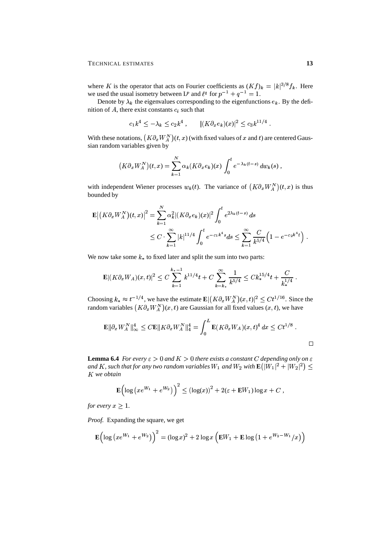where K is the operator that acts on Fourier coefficients as  $(Kf)_k = |k|^{3/8} f_k$ . Here we used the usual isometry between L<sup>*p*</sup> and  $\ell^q$  for  $p^{-1} + q^{-1} = 1$ .

Denote by  $\lambda_k$  the eigenvalues corresponding to the eigenfunctions  $e_k$ . By the definition of  $A$ , there exist constants  $c_i$  such that

$$
c_1 k^4 \leq -\lambda_k \leq c_2 k^4 \;, \qquad |(K \partial_x e_k)(x)|^2 \leq c_3 k^{11/4} \;.
$$

With these notations,  $(K \partial_x W_A^N)(t, x)$  (with fixed values of x and t) are centered Gaussian random variables given by

$$
(K\partial_x W_A^N)(t,x) = \sum_{k=1}^N \alpha_k (K\partial_x e_k)(x) \int_0^t e^{-\lambda_k(t-s)} dw_k(s) ,
$$

with independent Wiener processes  $w_k(t)$ . The variance of  $(K \partial_x W_A^N)(t, x)$  is thus bounded by

$$
\mathbf{E} | (K \partial_x W_A^N)(t, x) |^2 = \sum_{k=1}^N \alpha_k^2 |(K \partial_x e_k)(x)|^2 \int_0^t e^{2\lambda_k (t-s)} ds
$$
  
 
$$
\leq C \cdot \sum_{k=1}^\infty |k|^{11/4} \int_0^t e^{-c_1 k^4 s} ds \leq \sum_{k=1}^\infty \frac{C}{k^{5/4}} \Big( 1 - e^{-c_2 k^4 t} \Big).
$$

We now take some  $k_{\ast}$  to fixed later and split the sum into two parts:

$$
\mathbf{E}|(K\partial_x W_A)(x,t)|^2 \leq C \sum_{k=1}^{k_*-1} k^{11/4}t + C \sum_{k=k_*}^{\infty} \frac{1}{k^{5/4}} \leq C k_*^{15/4}t + \frac{C}{k_*^{1/4}}.
$$

Choosing  $k_* \approx t^{-1/4}$ , we have the estimate  $\mathbf{E} | (K \partial_x W_A^N)(x, t)|^2 \leq C t^{1/16}$ . Since the random variables  $(K\partial_x W_A^N)(x,t)$  are Gaussian for all fixed values  $(x, t)$ , we have

$$
\mathbf{E} \|\partial_x W_A^N\|_\infty^4 \leq C \mathbf{E} \|K \partial_x W_A^N\|_4^4 = \int_0^L \mathbf{E}(K \partial_x W_A)(x, t)^4 dx \leq C t^{1/8}.
$$

**Lemma 6.4** *For every*  $\varepsilon > 0$  *and*  $K > 0$  *there exists a constant C depending only on*  $\varepsilon$ and  $K$  , such that for any two random variables  $W_1$  and  $W_2$  with  $\mathbf{E}(|W_1|^2+|W_2|^2)\leq 1$ *we obtain*

$$
\mathbf{E}\Big(\log\big(xe^{W_1}+e^{W_2}\big)\Big)^2\leq \left(\log(x)\right)^2+2(\varepsilon+\mathbf{E}W_1)\log x+C\;,
$$

*for every*  $x \geq 1$ .

*Proof.* Expanding the square, we get

$$
\mathbf{E} \Big( \log \big( xe^{W_1} + e^{W_2} \big) \Big)^2 = (\log x)^2 + 2 \log x \Big( \mathbf{E} W_1 + \mathbf{E} \log \big( 1 + e^{W_2 - W_1} / x \big) \Big)
$$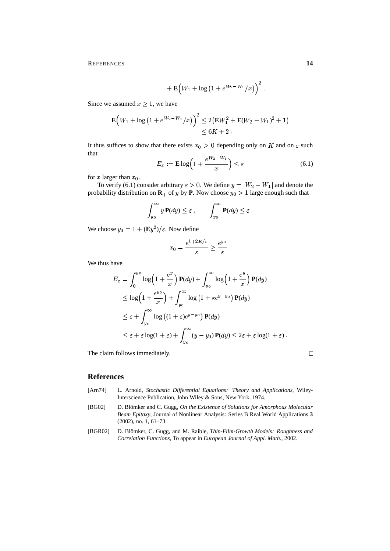REFERENCES **14**

+
$$
\mathbf{E}\Big(W_1 + \log (1 + e^{W_2-W_1}/x)\Big)^2
$$
.

Since we assumed  $x \geq 1$ , we have

$$
\mathbf{E}\Big(W_1+\log\big(1+e^{W_2-W_1}/x\big)\Big)^2\leq 2\big(\mathbf{E}W_1^2+\mathbf{E}(W_2-W_1)^2+1\big)\leq 6K+2.
$$

It thus suffices to show that there exists  $x_0 > 0$  depending only on K and on  $\varepsilon$  such that

$$
E_x := \mathbf{E} \log \left( 1 + \frac{e^{W_2 - W_1}}{x} \right) \le \varepsilon \tag{6.1}
$$

for x larger than  $x_0$ .

To verify (6.1) consider arbitrary  $\varepsilon > 0$ . We define  $y = |W_2 - W_1|$  and denote the probability distribution on  $\mathbf{R}_+$  of y by  $\mathbf{P}$ . Now choose  $y_0 > 1$  large enough such that

$$
\int_{y_0}^{\infty} y \, \mathbf{P}(dy) \leq \varepsilon \;, \qquad \int_{y_0}^{\infty} \mathbf{P}(dy) \leq \varepsilon \; .
$$

We choose  $y_0 = 1 + (\mathbf{E}y^2)/\varepsilon$ . Now define

$$
x_0 = \frac{e^{1+2K/\varepsilon}}{\varepsilon} \ge \frac{e^{y_0}}{\varepsilon}
$$

We thus have

$$
E_x = \int_0^{y_0} \log\left(1 + \frac{e^y}{x}\right) \mathbf{P}(dy) + \int_{y_0}^{\infty} \log\left(1 + \frac{e^y}{x}\right) \mathbf{P}(dy)
$$
  
\n
$$
\leq \log\left(1 + \frac{e^{y_0}}{x}\right) + \int_{y_0}^{\infty} \log\left(1 + \varepsilon e^{y - y_0}\right) \mathbf{P}(dy)
$$
  
\n
$$
\leq \varepsilon + \int_{y_0}^{\infty} \log\left((1 + \varepsilon)e^{y - y_0}\right) \mathbf{P}(dy)
$$
  
\n
$$
\leq \varepsilon + \varepsilon \log(1 + \varepsilon) + \int_{y_0}^{\infty} (y - y_0) \mathbf{P}(dy) \leq 2\varepsilon + \varepsilon \log(1 + \varepsilon).
$$

The claim follows immediately.

# $\Box$

### **References**

- [Arn74] L. Arnold, *Stochastic Differential Equations: Theory and Applications*, Wiley-Interscience Publication, John Wiley & Sons, New York, 1974.
- [BG02] D. Blömker and C. Gugg, *On the Existence of Solutions for Amorphous Molecular Beam Epitaxy*, Journal of Nonlinear Analysis: Series B Real World Applications **3** (2002), no. 1, 61–73.
- [BGR02] D. Blömker, C. Gugg, and M. Raible, *Thin-Film-Growth Models: Roughness and Correlation Functions*, To appear in *European Journal of Appl. Math.*, 2002.